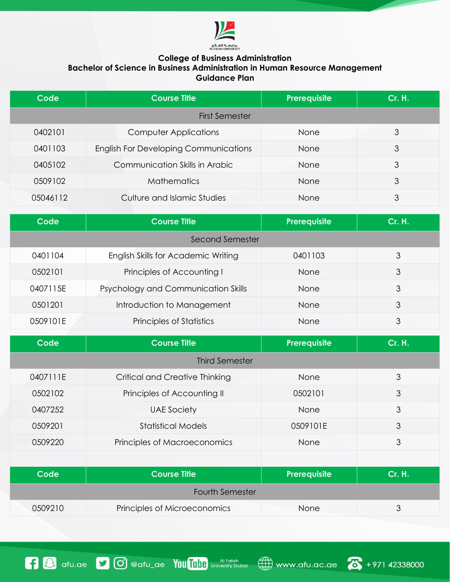

## **College of Business Administration**

**Bachelor of Science in Business Administration in Human Resource Management Guidance Plan**

| Code                  | <b>Course Title</b>                          | Prerequisite | <b>Cr. H.</b> |
|-----------------------|----------------------------------------------|--------------|---------------|
| <b>First Semester</b> |                                              |              |               |
| 0402101               | <b>Computer Applications</b>                 | None         | 3             |
| 0401103               | <b>English For Developing Communications</b> | None         | 3             |
| 0405102               | Communication Skills in Arabic               | None         | 3             |
| 0509102               | <b>Mathematics</b>                           | None         | 3             |
| 05046112              | Culture and Islamic Studies                  | None         | 3             |

| Code            | <b>Course Title</b>                 | Prerequisite | Cr. H. |
|-----------------|-------------------------------------|--------------|--------|
| Second Semester |                                     |              |        |
| 0401104         | English Skills for Academic Writing | 0401103      | 3      |
| 0502101         | Principles of Accounting I          | <b>None</b>  | 3      |
| 0407115E        | Psychology and Communication Skills | None         | 3      |
| 0.501201        | Introduction to Management          | <b>None</b>  | 3      |
| 0509101E        | Principles of Statistics            | None         | 3      |

| Code                   | <b>Course Title</b>                   | Prerequisite | <b>Cr. H.</b> |  |
|------------------------|---------------------------------------|--------------|---------------|--|
| <b>Third Semester</b>  |                                       |              |               |  |
| 0407111E               | <b>Critical and Creative Thinking</b> | None         | 3             |  |
| 0502102                | Principles of Accounting II           | 0502101      | 3             |  |
| 0407252                | <b>UAE Society</b>                    | None         | 3             |  |
| 0509201                | <b>Statistical Models</b>             | 0509101E     | 3             |  |
| 0509220                | Principles of Macroeconomics          | None         | 3             |  |
|                        |                                       |              |               |  |
| Code                   | <b>Course Title</b>                   | Prerequisite | <b>Cr. H.</b> |  |
| <b>Fourth Semester</b> |                                       |              |               |  |
| 0509210                | Principles of Microeconomics          | None         | 3             |  |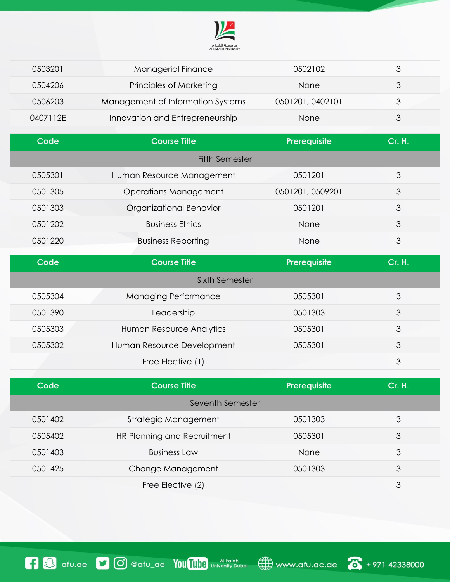

| 0503201        | <b>Managerial Finance</b>         | 0502102          | 3             |  |
|----------------|-----------------------------------|------------------|---------------|--|
| 0504206        | Principles of Marketing           | None             | 3             |  |
| 0506203        | Management of Information Systems | 0501201, 0402101 | 3             |  |
| 0407112E       | Innovation and Entrepreneurship   | None             | 3             |  |
| Code           | <b>Course Title</b>               | Prerequisite     | <b>Cr. H.</b> |  |
|                | <b>Fifth Semester</b>             |                  |               |  |
| 0505301        | Human Resource Management         | 0501201          | 3             |  |
| 0501305        | <b>Operations Management</b>      | 0501201, 0509201 | 3             |  |
| 0501303        | Organizational Behavior           | 0501201          | 3             |  |
| 0501202        | <b>Business Ethics</b>            | None             | 3             |  |
| 0501220        | <b>Business Reporting</b>         | None             | 3             |  |
| Code           | <b>Course Title</b>               | Prerequisite     | <b>Cr. H.</b> |  |
| Sixth Semester |                                   |                  |               |  |
| 0505304        | Managing Performance              | 0505301          | 3             |  |
| 0501390        | Leadership                        | 0501303          | 3             |  |
| 0505303        | Human Resource Analytics          | 0505301          | 3             |  |
| 0505302        | Human Resource Development        | 0505301          | 3             |  |
|                | Free Elective (1)                 |                  | 3             |  |

| Code             | <b>Course Title</b>         | Prerequisite | <b>Cr. H.</b> |
|------------------|-----------------------------|--------------|---------------|
| Seventh Semester |                             |              |               |
| 0501402          | Strategic Management        | 0501303      | 3             |
| 0505402          | HR Planning and Recruitment | 0505301      | 3             |
| 0501403          | <b>Business Law</b>         | None         | 3             |
| 0501425          | Change Management           | 0501303      | 3             |
|                  | Free Elective (2)           |              | 3             |